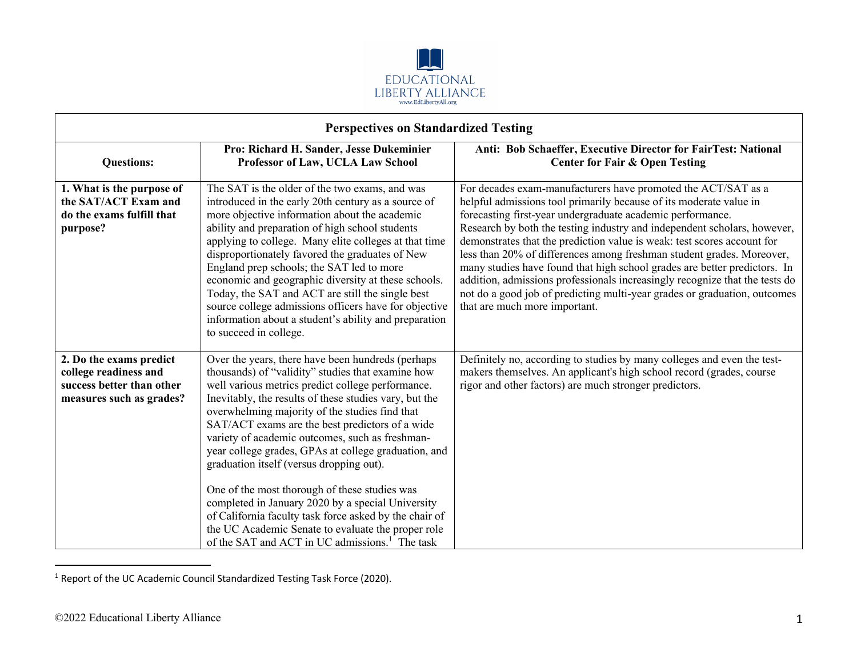

| <b>Perspectives on Standardized Testing</b>                                                               |                                                                                                                                                                                                                                                                                                                                                                                                                                                                                                                                                                                                                                                                                                                                                                       |                                                                                                                                                                                                                                                                                                                                                                                                                                                                                                                                                                                                                                                                                                             |
|-----------------------------------------------------------------------------------------------------------|-----------------------------------------------------------------------------------------------------------------------------------------------------------------------------------------------------------------------------------------------------------------------------------------------------------------------------------------------------------------------------------------------------------------------------------------------------------------------------------------------------------------------------------------------------------------------------------------------------------------------------------------------------------------------------------------------------------------------------------------------------------------------|-------------------------------------------------------------------------------------------------------------------------------------------------------------------------------------------------------------------------------------------------------------------------------------------------------------------------------------------------------------------------------------------------------------------------------------------------------------------------------------------------------------------------------------------------------------------------------------------------------------------------------------------------------------------------------------------------------------|
| <b>Questions:</b>                                                                                         | Pro: Richard H. Sander, Jesse Dukeminier<br>Professor of Law, UCLA Law School                                                                                                                                                                                                                                                                                                                                                                                                                                                                                                                                                                                                                                                                                         | Anti: Bob Schaeffer, Executive Director for FairTest: National<br><b>Center for Fair &amp; Open Testing</b>                                                                                                                                                                                                                                                                                                                                                                                                                                                                                                                                                                                                 |
| 1. What is the purpose of<br>the SAT/ACT Exam and<br>do the exams fulfill that<br>purpose?                | The SAT is the older of the two exams, and was<br>introduced in the early 20th century as a source of<br>more objective information about the academic<br>ability and preparation of high school students<br>applying to college. Many elite colleges at that time<br>disproportionately favored the graduates of New<br>England prep schools; the SAT led to more<br>economic and geographic diversity at these schools.<br>Today, the SAT and ACT are still the single best<br>source college admissions officers have for objective<br>information about a student's ability and preparation<br>to succeed in college.                                                                                                                                             | For decades exam-manufacturers have promoted the ACT/SAT as a<br>helpful admissions tool primarily because of its moderate value in<br>forecasting first-year undergraduate academic performance.<br>Research by both the testing industry and independent scholars, however,<br>demonstrates that the prediction value is weak: test scores account for<br>less than 20% of differences among freshman student grades. Moreover,<br>many studies have found that high school grades are better predictors. In<br>addition, admissions professionals increasingly recognize that the tests do<br>not do a good job of predicting multi-year grades or graduation, outcomes<br>that are much more important. |
| 2. Do the exams predict<br>college readiness and<br>success better than other<br>measures such as grades? | Over the years, there have been hundreds (perhaps<br>thousands) of "validity" studies that examine how<br>well various metrics predict college performance.<br>Inevitably, the results of these studies vary, but the<br>overwhelming majority of the studies find that<br>SAT/ACT exams are the best predictors of a wide<br>variety of academic outcomes, such as freshman-<br>year college grades, GPAs at college graduation, and<br>graduation itself (versus dropping out).<br>One of the most thorough of these studies was<br>completed in January 2020 by a special University<br>of California faculty task force asked by the chair of<br>the UC Academic Senate to evaluate the proper role<br>of the SAT and ACT in UC admissions. <sup>1</sup> The task | Definitely no, according to studies by many colleges and even the test-<br>makers themselves. An applicant's high school record (grades, course<br>rigor and other factors) are much stronger predictors.                                                                                                                                                                                                                                                                                                                                                                                                                                                                                                   |

<sup>1</sup> Report of the UC Academic Council Standardized Testing Task Force (2020).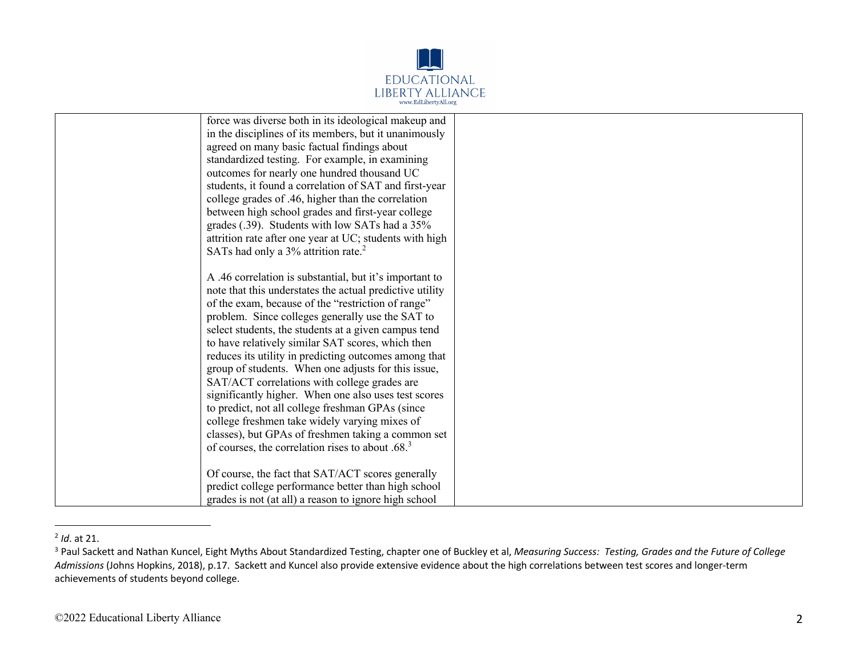

| force was diverse both in its ideological makeup and     |  |
|----------------------------------------------------------|--|
| in the disciplines of its members, but it unanimously    |  |
| agreed on many basic factual findings about              |  |
| standardized testing. For example, in examining          |  |
| outcomes for nearly one hundred thousand UC              |  |
| students, it found a correlation of SAT and first-year   |  |
| college grades of .46, higher than the correlation       |  |
| between high school grades and first-year college        |  |
| grades (.39). Students with low SATs had a 35%           |  |
| attrition rate after one year at UC; students with high  |  |
| SATs had only a 3% attrition rate. <sup>2</sup>          |  |
|                                                          |  |
| A .46 correlation is substantial, but it's important to  |  |
| note that this understates the actual predictive utility |  |
| of the exam, because of the "restriction of range"       |  |
| problem. Since colleges generally use the SAT to         |  |
| select students, the students at a given campus tend     |  |
| to have relatively similar SAT scores, which then        |  |
| reduces its utility in predicting outcomes among that    |  |
| group of students. When one adjusts for this issue,      |  |
| SAT/ACT correlations with college grades are             |  |
| significantly higher. When one also uses test scores     |  |
| to predict, not all college freshman GPAs (since         |  |
| college freshmen take widely varying mixes of            |  |
| classes), but GPAs of freshmen taking a common set       |  |
| of courses, the correlation rises to about $.683$        |  |
|                                                          |  |
| Of course, the fact that SAT/ACT scores generally        |  |
| predict college performance better than high school      |  |
| grades is not (at all) a reason to ignore high school    |  |

<sup>2</sup> *Id*. at 21.

<sup>3</sup> Paul Sackett and Nathan Kuncel, Eight Myths About Standardized Testing, chapter one of Buckley et al, *Measuring Success: Testing, Grades and the Future of College Admissions* (Johns Hopkins, 2018), p.17. Sackett and Kuncel also provide extensive evidence about the high correlations between test scores and longer-term achievements of students beyond college.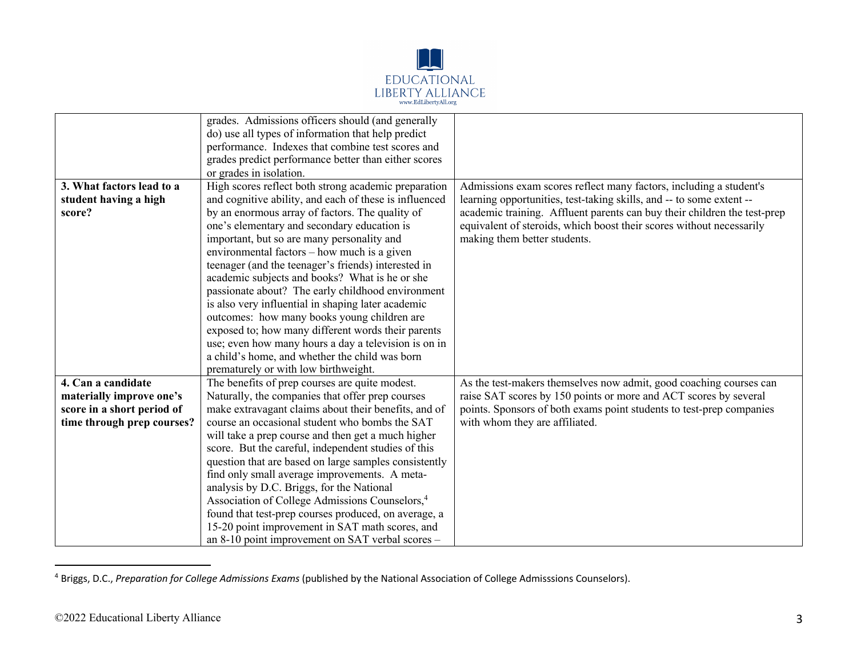

|                                                                                                            | grades. Admissions officers should (and generally<br>do) use all types of information that help predict<br>performance. Indexes that combine test scores and<br>grades predict performance better than either scores<br>or grades in isolation.                                                                                                                                                                                                                                                                                                                                                                                                                                                                                                                                          |                                                                                                                                                                                                                                                                                                                                |
|------------------------------------------------------------------------------------------------------------|------------------------------------------------------------------------------------------------------------------------------------------------------------------------------------------------------------------------------------------------------------------------------------------------------------------------------------------------------------------------------------------------------------------------------------------------------------------------------------------------------------------------------------------------------------------------------------------------------------------------------------------------------------------------------------------------------------------------------------------------------------------------------------------|--------------------------------------------------------------------------------------------------------------------------------------------------------------------------------------------------------------------------------------------------------------------------------------------------------------------------------|
| 3. What factors lead to a<br>student having a high<br>score?                                               | High scores reflect both strong academic preparation<br>and cognitive ability, and each of these is influenced<br>by an enormous array of factors. The quality of<br>one's elementary and secondary education is<br>important, but so are many personality and<br>environmental factors - how much is a given<br>teenager (and the teenager's friends) interested in<br>academic subjects and books? What is he or she<br>passionate about? The early childhood environment<br>is also very influential in shaping later academic<br>outcomes: how many books young children are<br>exposed to; how many different words their parents<br>use; even how many hours a day a television is on in<br>a child's home, and whether the child was born<br>prematurely or with low birthweight. | Admissions exam scores reflect many factors, including a student's<br>learning opportunities, test-taking skills, and -- to some extent --<br>academic training. Affluent parents can buy their children the test-prep<br>equivalent of steroids, which boost their scores without necessarily<br>making them better students. |
| 4. Can a candidate<br>materially improve one's<br>score in a short period of<br>time through prep courses? | The benefits of prep courses are quite modest.<br>Naturally, the companies that offer prep courses<br>make extravagant claims about their benefits, and of<br>course an occasional student who bombs the SAT<br>will take a prep course and then get a much higher<br>score. But the careful, independent studies of this<br>question that are based on large samples consistently<br>find only small average improvements. A meta-<br>analysis by D.C. Briggs, for the National<br>Association of College Admissions Counselors, <sup>4</sup><br>found that test-prep courses produced, on average, a<br>15-20 point improvement in SAT math scores, and<br>an 8-10 point improvement on SAT verbal scores -                                                                            | As the test-makers themselves now admit, good coaching courses can<br>raise SAT scores by 150 points or more and ACT scores by several<br>points. Sponsors of both exams point students to test-prep companies<br>with whom they are affiliated.                                                                               |

<sup>4</sup> Briggs, D.C., *Preparation for College Admissions Exams* (published by the National Association of College Admisssions Counselors).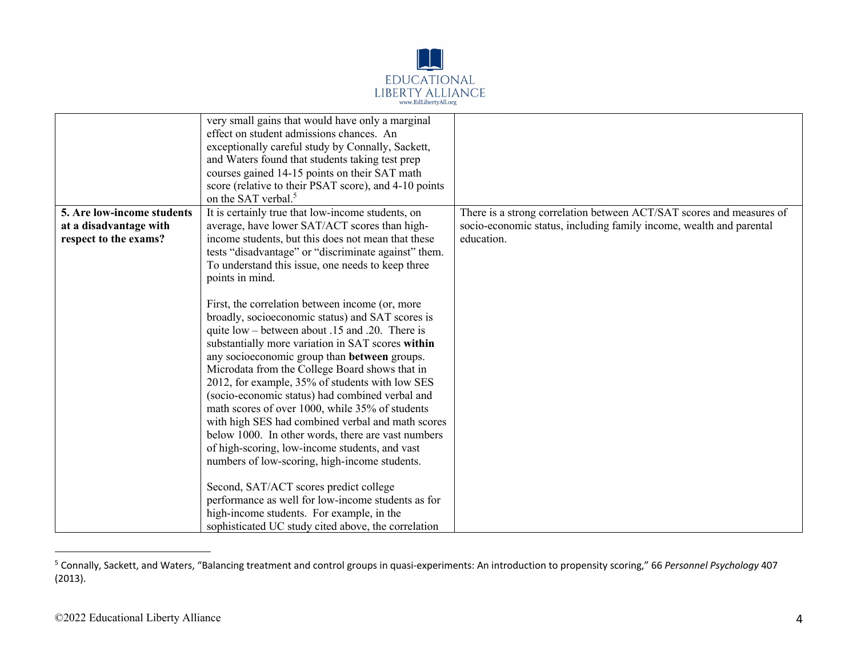

|                            | very small gains that would have only a marginal<br>effect on student admissions chances. An<br>exceptionally careful study by Connally, Sackett,<br>and Waters found that students taking test prep<br>courses gained 14-15 points on their SAT math<br>score (relative to their PSAT score), and 4-10 points<br>on the SAT verbal. <sup>5</sup>                                                                                                                                                                                                                                                                                                                                                                                                                                                                                                                                        |                                                                      |
|----------------------------|------------------------------------------------------------------------------------------------------------------------------------------------------------------------------------------------------------------------------------------------------------------------------------------------------------------------------------------------------------------------------------------------------------------------------------------------------------------------------------------------------------------------------------------------------------------------------------------------------------------------------------------------------------------------------------------------------------------------------------------------------------------------------------------------------------------------------------------------------------------------------------------|----------------------------------------------------------------------|
| 5. Are low-income students | It is certainly true that low-income students, on                                                                                                                                                                                                                                                                                                                                                                                                                                                                                                                                                                                                                                                                                                                                                                                                                                        | There is a strong correlation between ACT/SAT scores and measures of |
| at a disadvantage with     | average, have lower SAT/ACT scores than high-                                                                                                                                                                                                                                                                                                                                                                                                                                                                                                                                                                                                                                                                                                                                                                                                                                            | socio-economic status, including family income, wealth and parental  |
| respect to the exams?      | income students, but this does not mean that these                                                                                                                                                                                                                                                                                                                                                                                                                                                                                                                                                                                                                                                                                                                                                                                                                                       | education.                                                           |
|                            | tests "disadvantage" or "discriminate against" them.<br>To understand this issue, one needs to keep three                                                                                                                                                                                                                                                                                                                                                                                                                                                                                                                                                                                                                                                                                                                                                                                |                                                                      |
|                            | points in mind.                                                                                                                                                                                                                                                                                                                                                                                                                                                                                                                                                                                                                                                                                                                                                                                                                                                                          |                                                                      |
|                            | First, the correlation between income (or, more<br>broadly, socioeconomic status) and SAT scores is<br>quite low – between about .15 and .20. There is<br>substantially more variation in SAT scores within<br>any socioeconomic group than between groups.<br>Microdata from the College Board shows that in<br>2012, for example, 35% of students with low SES<br>(socio-economic status) had combined verbal and<br>math scores of over 1000, while 35% of students<br>with high SES had combined verbal and math scores<br>below 1000. In other words, there are vast numbers<br>of high-scoring, low-income students, and vast<br>numbers of low-scoring, high-income students.<br>Second, SAT/ACT scores predict college<br>performance as well for low-income students as for<br>high-income students. For example, in the<br>sophisticated UC study cited above, the correlation |                                                                      |

<sup>5</sup> Connally, Sackett, and Waters, "Balancing treatment and control groups in quasi-experiments: An introduction to propensity scoring," 66 *Personnel Psychology* 407 (2013).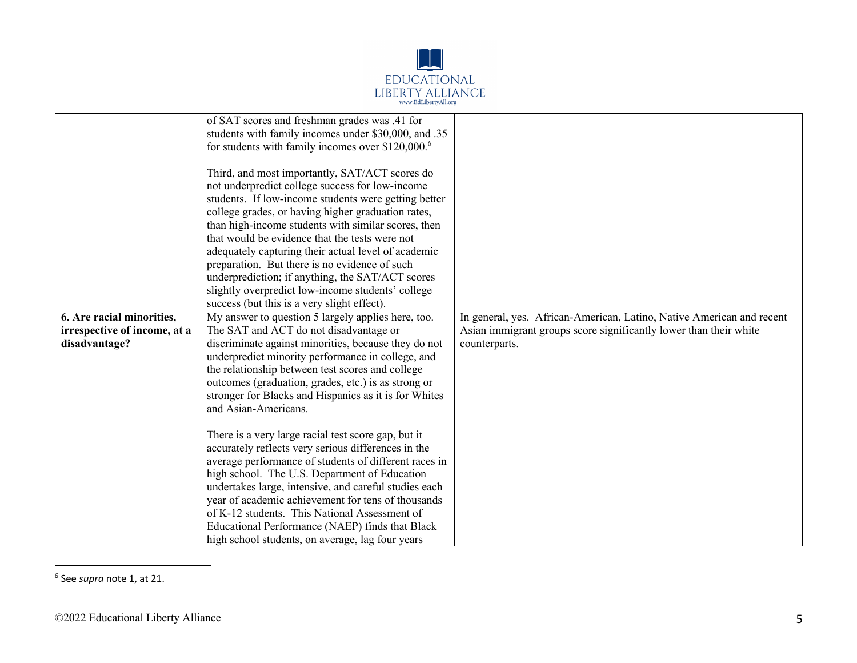

|                                               | of SAT scores and freshman grades was .41 for<br>students with family incomes under \$30,000, and .35<br>for students with family incomes over $$120,000$ . <sup>6</sup><br>Third, and most importantly, SAT/ACT scores do |                                                                                    |
|-----------------------------------------------|----------------------------------------------------------------------------------------------------------------------------------------------------------------------------------------------------------------------------|------------------------------------------------------------------------------------|
|                                               | not underpredict college success for low-income                                                                                                                                                                            |                                                                                    |
|                                               | students. If low-income students were getting better                                                                                                                                                                       |                                                                                    |
|                                               | college grades, or having higher graduation rates,                                                                                                                                                                         |                                                                                    |
|                                               | than high-income students with similar scores, then<br>that would be evidence that the tests were not                                                                                                                      |                                                                                    |
|                                               | adequately capturing their actual level of academic                                                                                                                                                                        |                                                                                    |
|                                               | preparation. But there is no evidence of such                                                                                                                                                                              |                                                                                    |
|                                               | underprediction; if anything, the SAT/ACT scores                                                                                                                                                                           |                                                                                    |
|                                               | slightly overpredict low-income students' college                                                                                                                                                                          |                                                                                    |
|                                               | success (but this is a very slight effect).                                                                                                                                                                                |                                                                                    |
| 6. Are racial minorities,                     | My answer to question 5 largely applies here, too.                                                                                                                                                                         | In general, yes. African-American, Latino, Native American and recent              |
| irrespective of income, at a<br>disadvantage? | The SAT and ACT do not disadvantage or<br>discriminate against minorities, because they do not                                                                                                                             | Asian immigrant groups score significantly lower than their white<br>counterparts. |
|                                               | underpredict minority performance in college, and                                                                                                                                                                          |                                                                                    |
|                                               | the relationship between test scores and college                                                                                                                                                                           |                                                                                    |
|                                               | outcomes (graduation, grades, etc.) is as strong or                                                                                                                                                                        |                                                                                    |
|                                               | stronger for Blacks and Hispanics as it is for Whites                                                                                                                                                                      |                                                                                    |
|                                               | and Asian-Americans.                                                                                                                                                                                                       |                                                                                    |
|                                               | There is a very large racial test score gap, but it                                                                                                                                                                        |                                                                                    |
|                                               | accurately reflects very serious differences in the                                                                                                                                                                        |                                                                                    |
|                                               | average performance of students of different races in                                                                                                                                                                      |                                                                                    |
|                                               | high school. The U.S. Department of Education                                                                                                                                                                              |                                                                                    |
|                                               | undertakes large, intensive, and careful studies each                                                                                                                                                                      |                                                                                    |
|                                               | year of academic achievement for tens of thousands                                                                                                                                                                         |                                                                                    |
|                                               | of K-12 students. This National Assessment of                                                                                                                                                                              |                                                                                    |
|                                               | Educational Performance (NAEP) finds that Black                                                                                                                                                                            |                                                                                    |
|                                               | high school students, on average, lag four years                                                                                                                                                                           |                                                                                    |

<sup>6</sup> See *supra* note 1, at 21.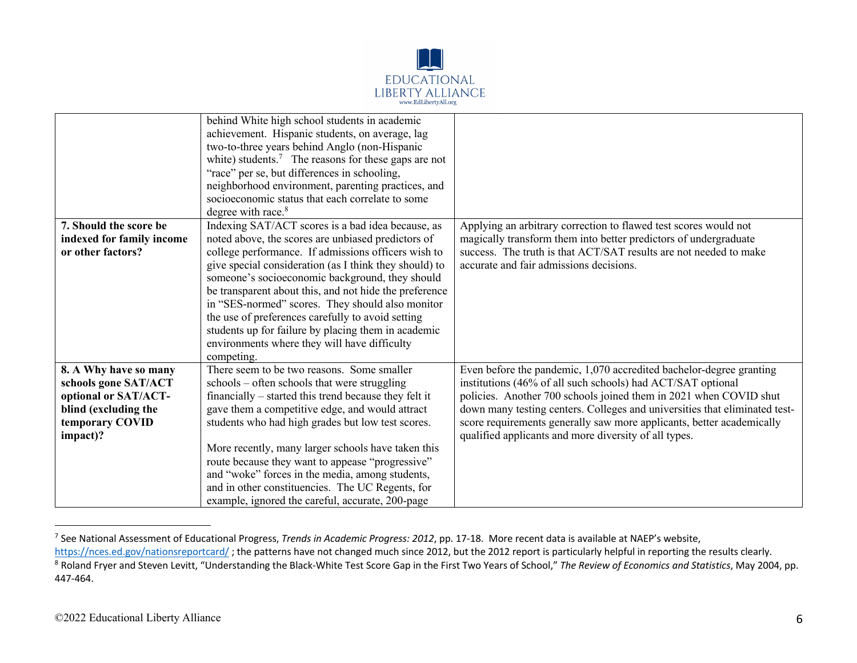

|                                                | behind White high school students in academic<br>achievement. Hispanic students, on average, lag<br>two-to-three years behind Anglo (non-Hispanic<br>white) students. <sup>7</sup> The reasons for these gaps are not<br>"race" per se, but differences in schooling,<br>neighborhood environment, parenting practices, and<br>socioeconomic status that each correlate to some<br>degree with race. <sup>8</sup> |                                                                                                                                                 |
|------------------------------------------------|-------------------------------------------------------------------------------------------------------------------------------------------------------------------------------------------------------------------------------------------------------------------------------------------------------------------------------------------------------------------------------------------------------------------|-------------------------------------------------------------------------------------------------------------------------------------------------|
| 7. Should the score be                         | Indexing SAT/ACT scores is a bad idea because, as                                                                                                                                                                                                                                                                                                                                                                 | Applying an arbitrary correction to flawed test scores would not                                                                                |
| indexed for family income<br>or other factors? | noted above, the scores are unbiased predictors of<br>college performance. If admissions officers wish to                                                                                                                                                                                                                                                                                                         | magically transform them into better predictors of undergraduate<br>success. The truth is that ACT/SAT results are not needed to make           |
|                                                | give special consideration (as I think they should) to                                                                                                                                                                                                                                                                                                                                                            | accurate and fair admissions decisions.                                                                                                         |
|                                                | someone's socioeconomic background, they should                                                                                                                                                                                                                                                                                                                                                                   |                                                                                                                                                 |
|                                                | be transparent about this, and not hide the preference                                                                                                                                                                                                                                                                                                                                                            |                                                                                                                                                 |
|                                                | in "SES-normed" scores. They should also monitor<br>the use of preferences carefully to avoid setting                                                                                                                                                                                                                                                                                                             |                                                                                                                                                 |
|                                                | students up for failure by placing them in academic                                                                                                                                                                                                                                                                                                                                                               |                                                                                                                                                 |
|                                                | environments where they will have difficulty                                                                                                                                                                                                                                                                                                                                                                      |                                                                                                                                                 |
|                                                | competing.                                                                                                                                                                                                                                                                                                                                                                                                        |                                                                                                                                                 |
| 8. A Why have so many                          | There seem to be two reasons. Some smaller                                                                                                                                                                                                                                                                                                                                                                        | Even before the pandemic, 1,070 accredited bachelor-degree granting                                                                             |
| schools gone SAT/ACT                           | schools – often schools that were struggling                                                                                                                                                                                                                                                                                                                                                                      | institutions (46% of all such schools) had ACT/SAT optional                                                                                     |
| optional or SAT/ACT-<br>blind (excluding the   | financially – started this trend because they felt it<br>gave them a competitive edge, and would attract                                                                                                                                                                                                                                                                                                          | policies. Another 700 schools joined them in 2021 when COVID shut<br>down many testing centers. Colleges and universities that eliminated test- |
| temporary COVID                                | students who had high grades but low test scores.                                                                                                                                                                                                                                                                                                                                                                 | score requirements generally saw more applicants, better academically                                                                           |
| impact)?                                       |                                                                                                                                                                                                                                                                                                                                                                                                                   | qualified applicants and more diversity of all types.                                                                                           |
|                                                | More recently, many larger schools have taken this                                                                                                                                                                                                                                                                                                                                                                |                                                                                                                                                 |
|                                                | route because they want to appease "progressive"                                                                                                                                                                                                                                                                                                                                                                  |                                                                                                                                                 |
|                                                | and "woke" forces in the media, among students,                                                                                                                                                                                                                                                                                                                                                                   |                                                                                                                                                 |
|                                                | and in other constituencies. The UC Regents, for<br>example, ignored the careful, accurate, 200-page                                                                                                                                                                                                                                                                                                              |                                                                                                                                                 |
|                                                |                                                                                                                                                                                                                                                                                                                                                                                                                   |                                                                                                                                                 |

<sup>7</sup> See National Assessment of Educational Progress, *Trends in Academic Progress: 2012*, pp. 17-18. More recent data is available at NAEP's website,

https://nces.ed.gov/nationsreportcard/ ; the patterns have not changed much since 2012, but the 2012 report is particularly helpful in reporting the results clearly. <sup>8</sup> Roland Fryer and Steven Levitt, "Understanding the Black-White Test Score Gap in the First Two Years of School," The Review of Economics and Statistics, May 2004, pp. 447-464.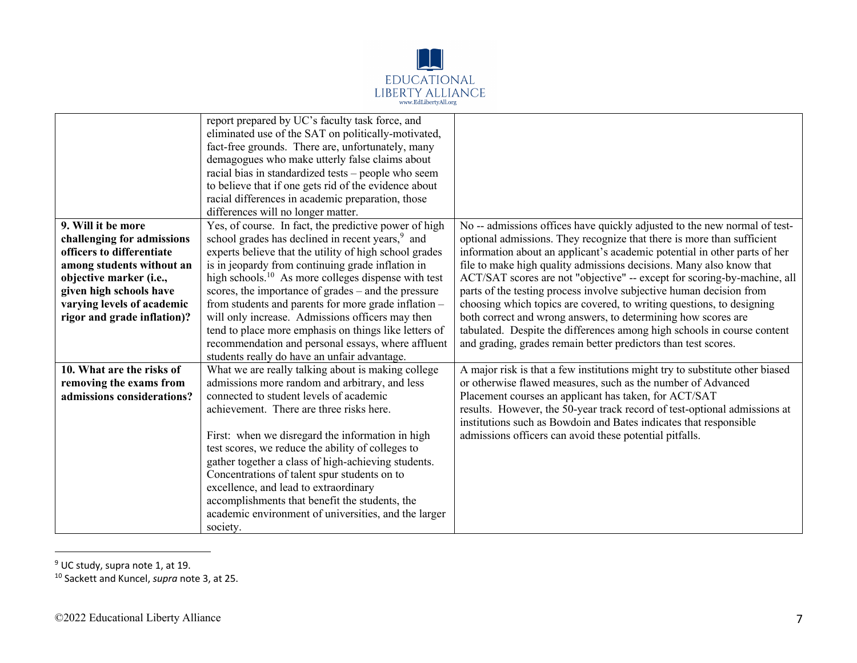

|                             | report prepared by UC's faculty task force, and                 |                                                                              |
|-----------------------------|-----------------------------------------------------------------|------------------------------------------------------------------------------|
|                             | eliminated use of the SAT on politically-motivated,             |                                                                              |
|                             | fact-free grounds. There are, unfortunately, many               |                                                                              |
|                             | demagogues who make utterly false claims about                  |                                                                              |
|                             | racial bias in standardized tests – people who seem             |                                                                              |
|                             | to believe that if one gets rid of the evidence about           |                                                                              |
|                             | racial differences in academic preparation, those               |                                                                              |
|                             | differences will no longer matter.                              |                                                                              |
| 9. Will it be more          | Yes, of course. In fact, the predictive power of high           | No -- admissions offices have quickly adjusted to the new normal of test-    |
| challenging for admissions  | school grades has declined in recent years, <sup>9</sup> and    | optional admissions. They recognize that there is more than sufficient       |
| officers to differentiate   | experts believe that the utility of high school grades          | information about an applicant's academic potential in other parts of her    |
| among students without an   | is in jeopardy from continuing grade inflation in               | file to make high quality admissions decisions. Many also know that          |
| objective marker (i.e.,     | high schools. <sup>10</sup> As more colleges dispense with test | ACT/SAT scores are not "objective" -- except for scoring-by-machine, all     |
| given high schools have     | scores, the importance of grades – and the pressure             | parts of the testing process involve subjective human decision from          |
| varying levels of academic  | from students and parents for more grade inflation -            | choosing which topics are covered, to writing questions, to designing        |
| rigor and grade inflation)? | will only increase. Admissions officers may then                | both correct and wrong answers, to determining how scores are                |
|                             | tend to place more emphasis on things like letters of           | tabulated. Despite the differences among high schools in course content      |
|                             | recommendation and personal essays, where affluent              | and grading, grades remain better predictors than test scores.               |
|                             | students really do have an unfair advantage.                    |                                                                              |
| 10. What are the risks of   | What we are really talking about is making college              | A major risk is that a few institutions might try to substitute other biased |
| removing the exams from     | admissions more random and arbitrary, and less                  | or otherwise flawed measures, such as the number of Advanced                 |
| admissions considerations?  | connected to student levels of academic                         | Placement courses an applicant has taken, for ACT/SAT                        |
|                             | achievement. There are three risks here.                        | results. However, the 50-year track record of test-optional admissions at    |
|                             |                                                                 | institutions such as Bowdoin and Bates indicates that responsible            |
|                             | First: when we disregard the information in high                | admissions officers can avoid these potential pitfalls.                      |
|                             | test scores, we reduce the ability of colleges to               |                                                                              |
|                             | gather together a class of high-achieving students.             |                                                                              |
|                             | Concentrations of talent spur students on to                    |                                                                              |
|                             | excellence, and lead to extraordinary                           |                                                                              |
|                             | accomplishments that benefit the students, the                  |                                                                              |
|                             | academic environment of universities, and the larger            |                                                                              |
|                             | society.                                                        |                                                                              |

<sup>&</sup>lt;sup>9</sup> UC study, supra note 1, at 19.

<sup>10</sup> Sackett and Kuncel, *supra* note 3, at 25.